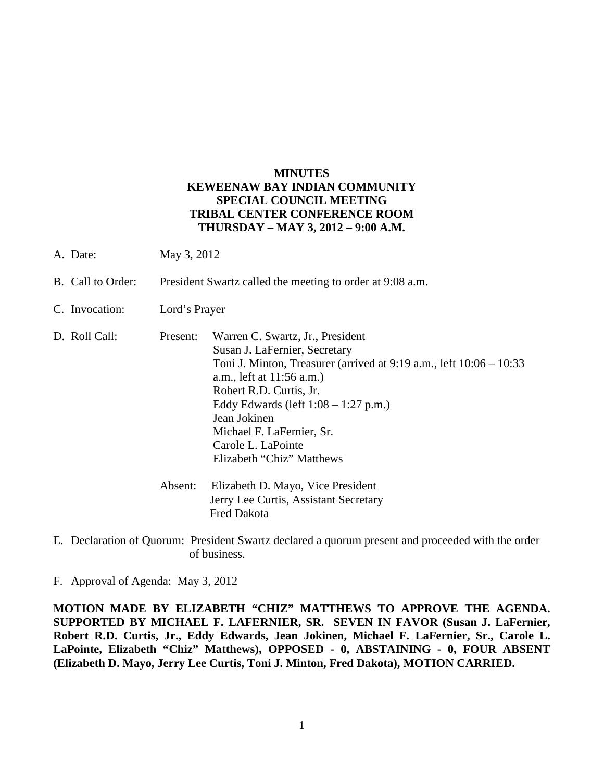## **MINUTES KEWEENAW BAY INDIAN COMMUNITY SPECIAL COUNCIL MEETING TRIBAL CENTER CONFERENCE ROOM THURSDAY – MAY 3, 2012 – 9:00 A.M.**

- A. Date: May 3, 2012
- B. Call to Order: President Swartz called the meeting to order at 9:08 a.m.

Fred Dakota

- C. Invocation: Lord's Prayer
- D. Roll Call: Present: Warren C. Swartz, Jr., President Susan J. LaFernier, Secretary Toni J. Minton, Treasurer (arrived at 9:19 a.m., left 10:06 – 10:33 a.m., left at 11:56 a.m.) Robert R.D. Curtis, Jr. Eddy Edwards (left 1:08 – 1:27 p.m.) Jean Jokinen Michael F. LaFernier, Sr. Carole L. LaPointe Elizabeth "Chiz" Matthews Absent: Elizabeth D. Mayo, Vice President Jerry Lee Curtis, Assistant Secretary
- E. Declaration of Quorum: President Swartz declared a quorum present and proceeded with the order of business.

F. Approval of Agenda: May 3, 2012

**MOTION MADE BY ELIZABETH "CHIZ" MATTHEWS TO APPROVE THE AGENDA. SUPPORTED BY MICHAEL F. LAFERNIER, SR. SEVEN IN FAVOR (Susan J. LaFernier, Robert R.D. Curtis, Jr., Eddy Edwards, Jean Jokinen, Michael F. LaFernier, Sr., Carole L. LaPointe, Elizabeth "Chiz" Matthews), OPPOSED - 0, ABSTAINING - 0, FOUR ABSENT (Elizabeth D. Mayo, Jerry Lee Curtis, Toni J. Minton, Fred Dakota), MOTION CARRIED.**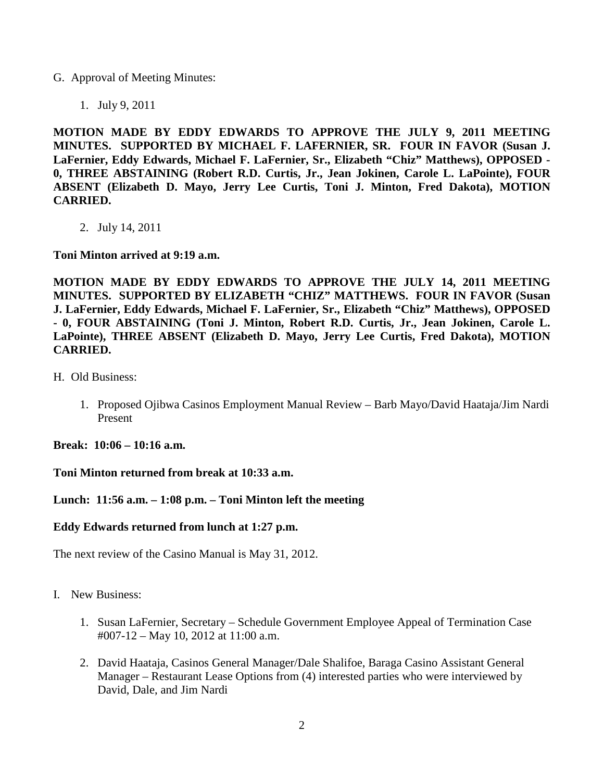G. Approval of Meeting Minutes:

1. July 9, 2011

**MOTION MADE BY EDDY EDWARDS TO APPROVE THE JULY 9, 2011 MEETING MINUTES. SUPPORTED BY MICHAEL F. LAFERNIER, SR. FOUR IN FAVOR (Susan J. LaFernier, Eddy Edwards, Michael F. LaFernier, Sr., Elizabeth "Chiz" Matthews), OPPOSED - 0, THREE ABSTAINING (Robert R.D. Curtis, Jr., Jean Jokinen, Carole L. LaPointe), FOUR ABSENT (Elizabeth D. Mayo, Jerry Lee Curtis, Toni J. Minton, Fred Dakota), MOTION CARRIED.** 

2. July 14, 2011

**Toni Minton arrived at 9:19 a.m.** 

**MOTION MADE BY EDDY EDWARDS TO APPROVE THE JULY 14, 2011 MEETING MINUTES. SUPPORTED BY ELIZABETH "CHIZ" MATTHEWS. FOUR IN FAVOR (Susan J. LaFernier, Eddy Edwards, Michael F. LaFernier, Sr., Elizabeth "Chiz" Matthews), OPPOSED - 0, FOUR ABSTAINING (Toni J. Minton, Robert R.D. Curtis, Jr., Jean Jokinen, Carole L. LaPointe), THREE ABSENT (Elizabeth D. Mayo, Jerry Lee Curtis, Fred Dakota), MOTION CARRIED.** 

- H. Old Business:
	- 1. Proposed Ojibwa Casinos Employment Manual Review Barb Mayo/David Haataja/Jim Nardi Present

**Break: 10:06 – 10:16 a.m.** 

**Toni Minton returned from break at 10:33 a.m.** 

## **Lunch: 11:56 a.m. – 1:08 p.m. – Toni Minton left the meeting**

## **Eddy Edwards returned from lunch at 1:27 p.m.**

The next review of the Casino Manual is May 31, 2012.

- I. New Business:
	- 1. Susan LaFernier, Secretary Schedule Government Employee Appeal of Termination Case #007-12 – May 10, 2012 at 11:00 a.m.
	- 2. David Haataja, Casinos General Manager/Dale Shalifoe, Baraga Casino Assistant General Manager – Restaurant Lease Options from (4) interested parties who were interviewed by David, Dale, and Jim Nardi